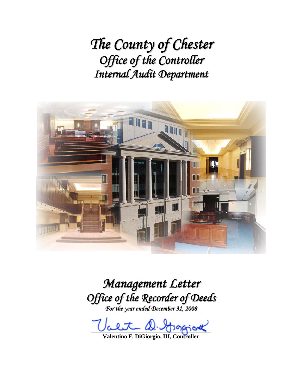*The County of Chester Office of the Controller Internal Audit Department*



# *Management Letter Office of the Recorder of Deeds*

*For the year ended December 31, 2008*

alet D. Grapiot

**Valentino F. DiGiorgio, III, Controller**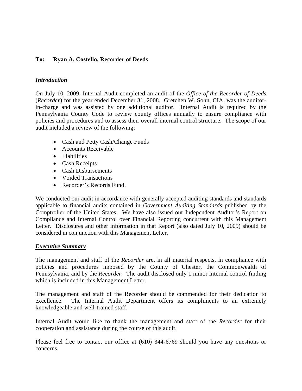#### **To: Ryan A. Costello, Recorder of Deeds**

#### *Introduction*

On July 10, 2009, Internal Audit completed an audit of the *Office of the Recorder of Deeds* (*Recorder*) for the year ended December 31, 2008. Gretchen W. Sohn, CIA, was the auditorin-charge and was assisted by one additional auditor. Internal Audit is required by the Pennsylvania County Code to review county offices annually to ensure compliance with policies and procedures and to assess their overall internal control structure. The scope of our audit included a review of the following:

- Cash and Petty Cash/Change Funds
- Accounts Receivable
- Liabilities
- Cash Receipts
- Cash Disbursements
- Voided Transactions
- Recorder's Records Fund.

We conducted our audit in accordance with generally accepted auditing standards and standards applicable to financial audits contained in *Government Auditing Standards* published by the Comptroller of the United States. We have also issued our Independent Auditor's Report on Compliance and Internal Control over Financial Reporting concurrent with this Management Letter. Disclosures and other information in that Report (also dated July 10, 2009) should be considered in conjunction with this Management Letter.

#### *Executive Summary*

The management and staff of the *Recorder* are, in all material respects, in compliance with policies and procedures imposed by the County of Chester, the Commonwealth of Pennsylvania, and by the *Recorder*.The audit disclosed only 1 minor internal control finding which is included in this Management Letter.

The management and staff of the Recorder should be commended for their dedication to excellence. The Internal Audit Department offers its compliments to an extremely knowledgeable and well-trained staff.

Internal Audit would like to thank the management and staff of the *Recorder* for their cooperation and assistance during the course of this audit.

Please feel free to contact our office at (610) 344-6769 should you have any questions or concerns.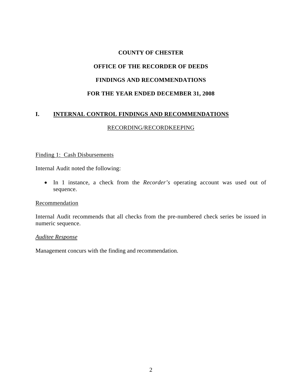#### **COUNTY OF CHESTER**

## **OFFICE OF THE RECORDER OF DEEDS**

#### **FINDINGS AND RECOMMENDATIONS**

#### **FOR THE YEAR ENDED DECEMBER 31, 2008**

### **I. INTERNAL CONTROL FINDINGS AND RECOMMENDATIONS**

#### RECORDING/RECORDKEEPING

#### Finding 1: Cash Disbursements

Internal Audit noted the following:

• In 1 instance, a check from the *Recorder's* operating account was used out of sequence.

#### Recommendation

Internal Audit recommends that all checks from the pre-numbered check series be issued in numeric sequence.

#### *Auditee Response*

Management concurs with the finding and recommendation.